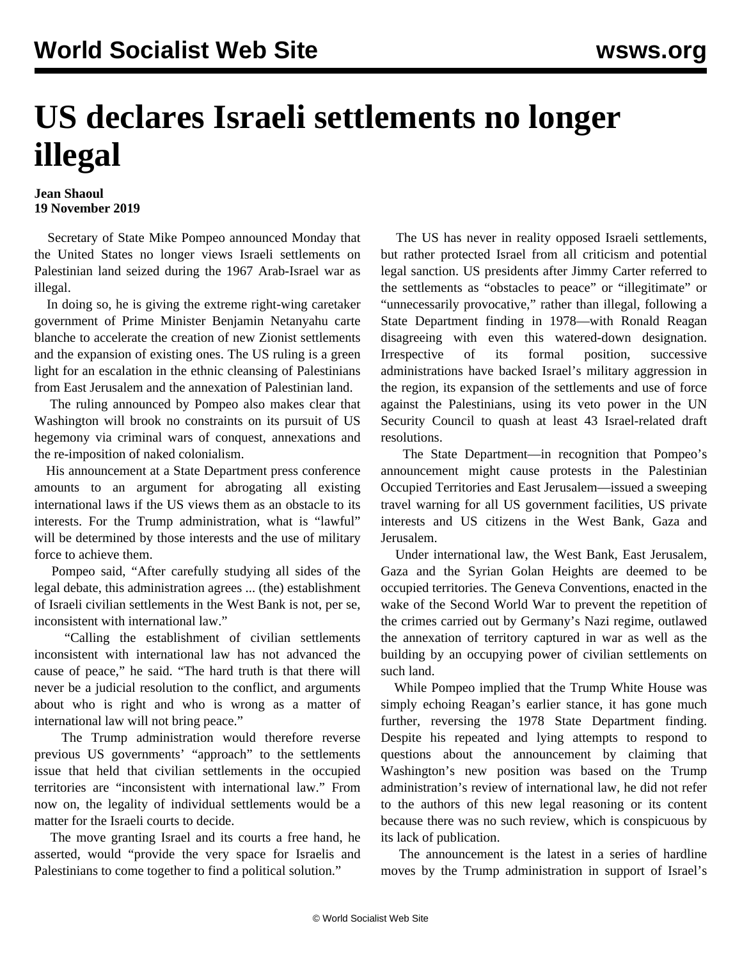## **US declares Israeli settlements no longer illegal**

## **Jean Shaoul 19 November 2019**

 Secretary of State Mike Pompeo announced Monday that the United States no longer views Israeli settlements on Palestinian land seized during the 1967 Arab-Israel war as illegal.

 In doing so, he is giving the extreme right-wing caretaker government of Prime Minister Benjamin Netanyahu carte blanche to accelerate the creation of new Zionist settlements and the expansion of existing ones. The US ruling is a green light for an escalation in the ethnic cleansing of Palestinians from East Jerusalem and the annexation of Palestinian land.

 The ruling announced by Pompeo also makes clear that Washington will brook no constraints on its pursuit of US hegemony via criminal wars of conquest, annexations and the re-imposition of naked colonialism.

 His announcement at a State Department press conference amounts to an argument for abrogating all existing international laws if the US views them as an obstacle to its interests. For the Trump administration, what is "lawful" will be determined by those interests and the use of military force to achieve them.

 Pompeo said, "After carefully studying all sides of the legal debate, this administration agrees ... (the) establishment of Israeli civilian settlements in the West Bank is not, per se, inconsistent with international law."

 "Calling the establishment of civilian settlements inconsistent with international law has not advanced the cause of peace," he said. "The hard truth is that there will never be a judicial resolution to the conflict, and arguments about who is right and who is wrong as a matter of international law will not bring peace."

 The Trump administration would therefore reverse previous US governments' "approach" to the settlements issue that held that civilian settlements in the occupied territories are "inconsistent with international law." From now on, the legality of individual settlements would be a matter for the Israeli courts to decide.

 The move granting Israel and its courts a free hand, he asserted, would "provide the very space for Israelis and Palestinians to come together to find a political solution."

 The US has never in reality opposed Israeli settlements, but rather protected Israel from all criticism and potential legal sanction. US presidents after Jimmy Carter referred to the settlements as "obstacles to peace" or "illegitimate" or "unnecessarily provocative," rather than illegal, following a State Department finding in 1978—with Ronald Reagan disagreeing with even this watered-down designation. Irrespective of its formal position, successive administrations have backed Israel's military aggression in the region, its expansion of the settlements and use of force against the Palestinians, using its veto power in the UN Security Council to quash at least 43 Israel-related draft resolutions.

 The State Department—in recognition that Pompeo's announcement might cause protests in the Palestinian Occupied Territories and East Jerusalem—issued a sweeping travel warning for all US government facilities, US private interests and US citizens in the West Bank, Gaza and Jerusalem.

 Under international law, the West Bank, East Jerusalem, Gaza and the Syrian Golan Heights are deemed to be occupied territories. The Geneva Conventions, enacted in the wake of the Second World War to prevent the repetition of the crimes carried out by Germany's Nazi regime, outlawed the annexation of territory captured in war as well as the building by an occupying power of civilian settlements on such land.

 While Pompeo implied that the Trump White House was simply echoing Reagan's earlier stance, it has gone much further, reversing the 1978 State Department finding. Despite his repeated and lying attempts to respond to questions about the announcement by claiming that Washington's new position was based on the Trump administration's review of international law, he did not refer to the authors of this new legal reasoning or its content because there was no such review, which is conspicuous by its lack of publication.

 The announcement is the latest in a series of hardline moves by the Trump administration in support of Israel's